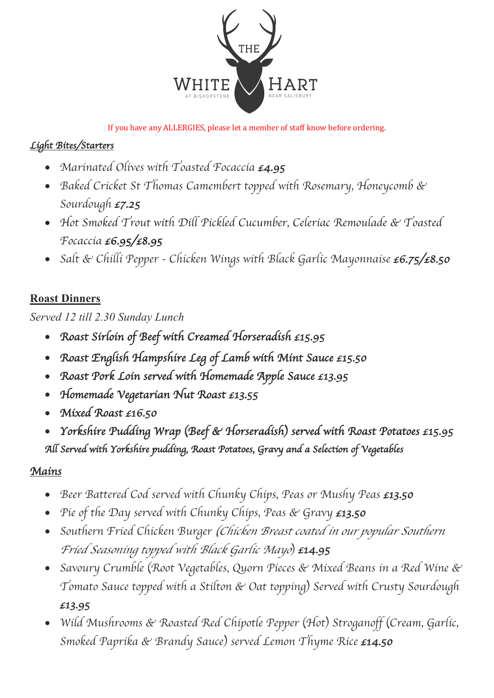

If you have any ALLERGIES, please let a member of staff know before ordering.

## *Light Bites/Starters*

- *Marinated Olives with Toasted Focaccia £4.95*
- *Baked Cricket St Thomas Camembert topped with Rosemary, Honeycomb & Sourdough £7.25*
- *Hot Smoked Trout with Dill Pickled Cucumber, Celeriac Remoulade & Toasted Focaccia £6.95/£8.95*
- *Salt & Chilli Pepper - Chicken Wings with Black Garlic Mayonnaise £6.75/£8.50*

## **Roast Dinners**

*Served 12 till 2.30 Sunday Lunch*

- *Roast Sirloin of Beef with Creamed Horseradish £15.95*
- *Roast English Hampshire Leg of Lamb with Mint Sauce £15.50*
- *Roast Pork Loin served with Homemade Apple Sauce £13.95*
- *Homemade Vegetarian Nut Roast £13.55*
- *Mixed Roast £16.50*
- *Yorkshire Pudding Wrap* (*Beef & Horseradish*) *served with Roast Potatoes £15.95 All Served with Yorkshire pudding, Roast Potatoes, Gravy and a Selection of Vegetables*

## *Mains*

- *Beer Battered Cod served with Chunky Chips, Peas or Mushy Peas £13.50*
- *Pie of the Day served with Chunky Chips, Peas & Gravy £13.50*
- *Southern Fried Chicken Burger* (*Chicken Breast coated in our popular Southern Fried Seasoning topped with Black Garlic Mayo*) *£14.95*
- *Savoury Crumble* (*Root Vegetables, Quorn Pieces & Mixed Beans in a Red Wine & Tomato Sauce topped with a Stilton & Oat topping*) *Served with Crusty Sourdough £13.95*
- *Wild Mushrooms & Roasted Red Chipotle Pepper* (*Hot*) *Stroganoff* (*Cream, Garlic, Smoked Paprika & Brandy Sauce*) *served Lemon Thyme Rice £14.50*